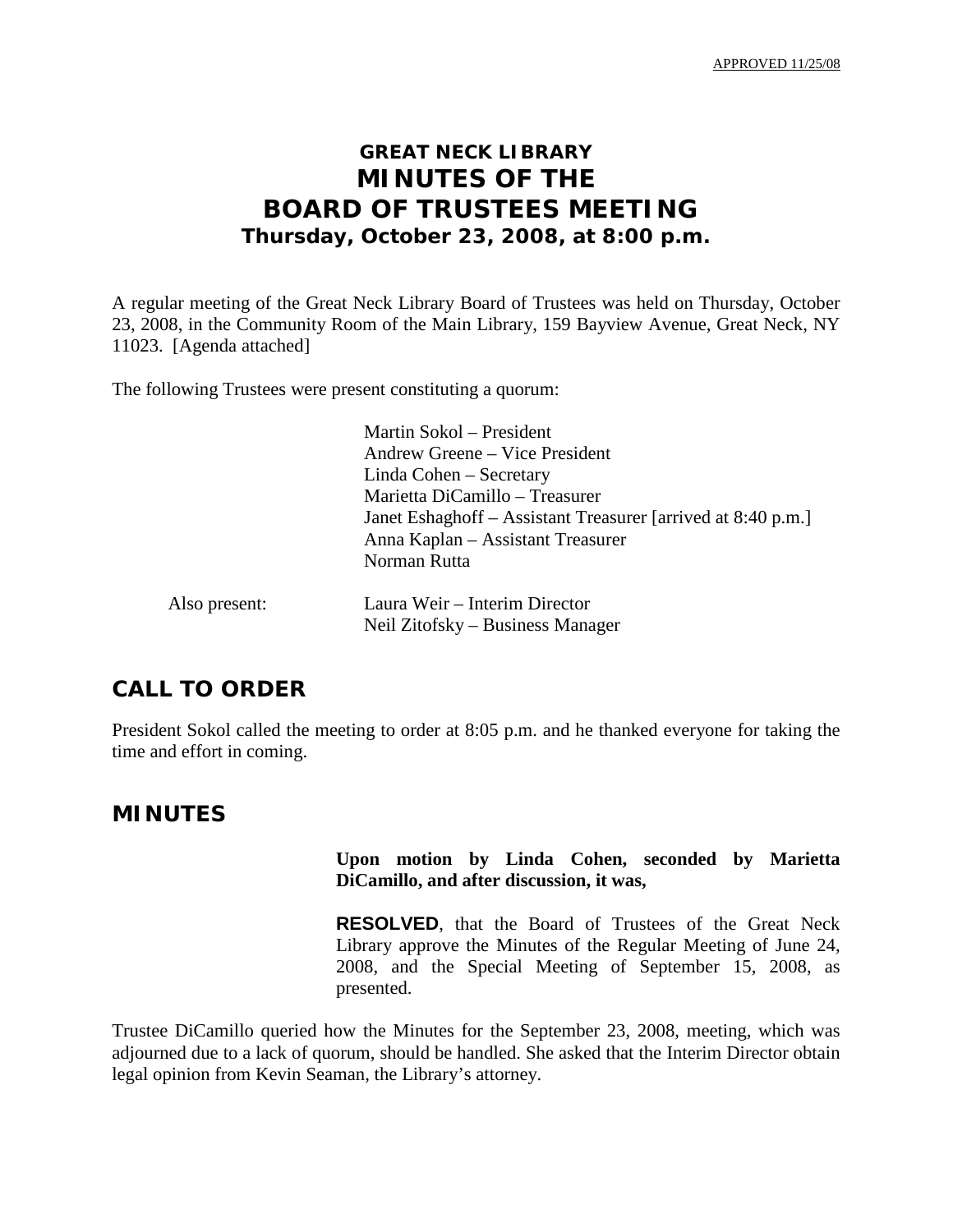APPROVED 11/25/08

# **GREAT NECK LIBRARY MINUTES OF THE BOARD OF TRUSTEES MEETING Thursday, October 23, 2008, at 8:00 p.m.**

A regular meeting of the Great Neck Library Board of Trustees was held on Thursday, October 23, 2008, in the Community Room of the Main Library, 159 Bayview Avenue, Great Neck, NY 11023. [Agenda attached]

The following Trustees were present constituting a quorum:

|               | Martin Sokol – President<br>Andrew Greene – Vice President   |
|---------------|--------------------------------------------------------------|
|               | Linda Cohen – Secretary                                      |
|               | Marietta DiCamillo - Treasurer                               |
|               | Janet Eshaghoff – Assistant Treasurer [arrived at 8:40 p.m.] |
|               | Anna Kaplan - Assistant Treasurer                            |
|               | Norman Rutta                                                 |
| Also present: | Laura Weir – Interim Director                                |
|               | Neil Zitofsky – Business Manager                             |

# **CALL TO ORDER**

President Sokol called the meeting to order at 8:05 p.m. and he thanked everyone for taking the time and effort in coming.

## **MINUTES**

## **Upon motion by Linda Cohen, seconded by Marietta DiCamillo, and after discussion, it was,**

**RESOLVED**, that the Board of Trustees of the Great Neck Library approve the Minutes of the Regular Meeting of June 24, 2008, and the Special Meeting of September 15, 2008, as presented.

Trustee DiCamillo queried how the Minutes for the September 23, 2008, meeting, which was adjourned due to a lack of quorum, should be handled. She asked that the Interim Director obtain legal opinion from Kevin Seaman, the Library's attorney.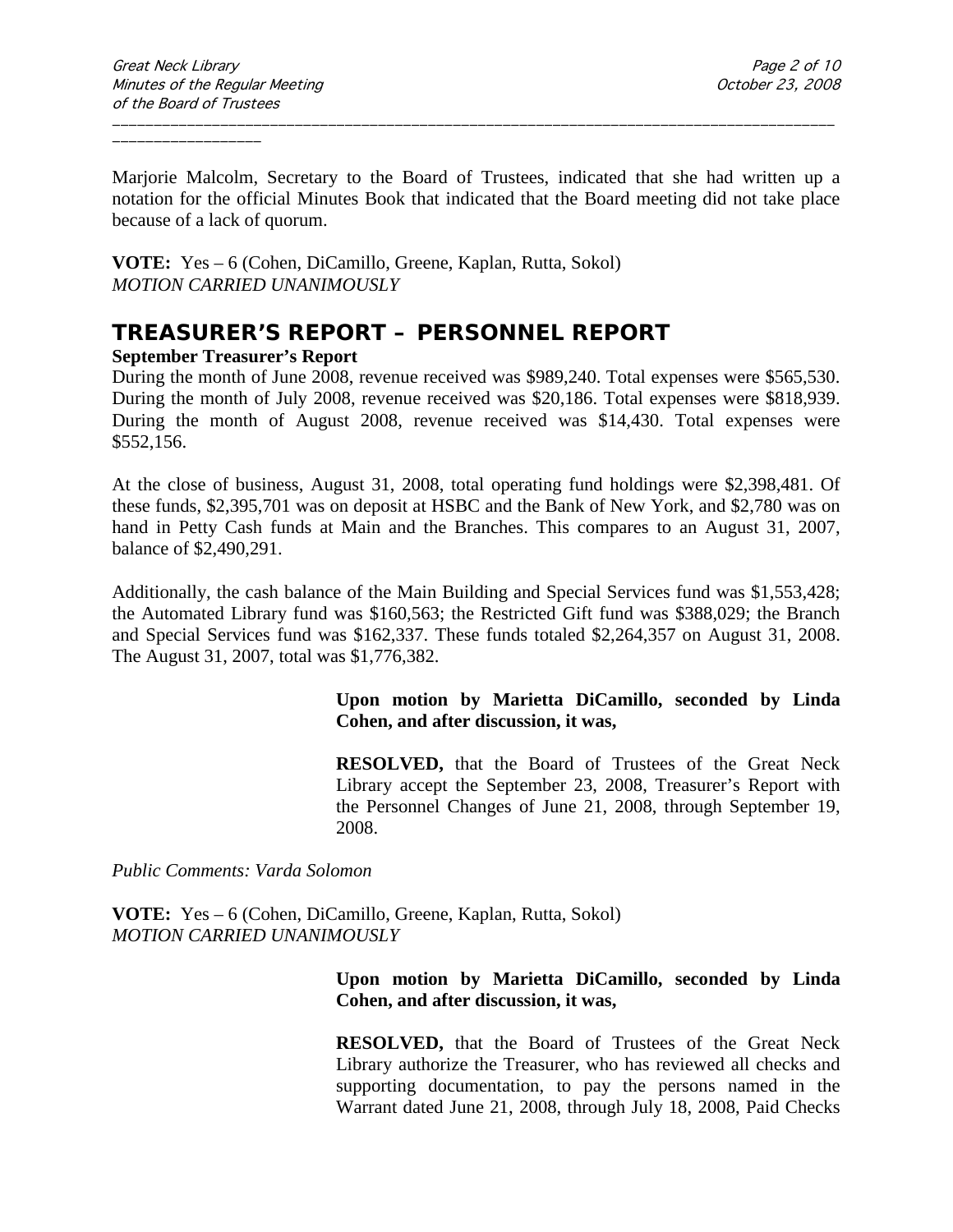Marjorie Malcolm, Secretary to the Board of Trustees, indicated that she had written up a notation for the official Minutes Book that indicated that the Board meeting did not take place because of a lack of quorum.

\_\_\_\_\_\_\_\_\_\_\_\_\_\_\_\_\_\_\_\_\_\_\_\_\_\_\_\_\_\_\_\_\_\_\_\_\_\_\_\_\_\_\_\_\_\_\_\_\_\_\_\_\_\_\_\_\_\_\_\_\_\_\_\_\_\_\_\_\_\_\_\_\_\_\_\_\_\_\_\_\_\_\_\_\_\_\_

**VOTE:** Yes – 6 (Cohen, DiCamillo, Greene, Kaplan, Rutta, Sokol) *MOTION CARRIED UNANIMOUSLY*

# **TREASURER'S REPORT – PERSONNEL REPORT**

#### **September Treasurer's Report**

During the month of June 2008, revenue received was \$989,240. Total expenses were \$565,530. During the month of July 2008, revenue received was \$20,186. Total expenses were \$818,939. During the month of August 2008, revenue received was \$14,430. Total expenses were \$552,156.

At the close of business, August 31, 2008, total operating fund holdings were \$2,398,481. Of these funds, \$2,395,701 was on deposit at HSBC and the Bank of New York, and \$2,780 was on hand in Petty Cash funds at Main and the Branches. This compares to an August 31, 2007, balance of \$2,490,291.

Additionally, the cash balance of the Main Building and Special Services fund was \$1,553,428; the Automated Library fund was \$160,563; the Restricted Gift fund was \$388,029; the Branch and Special Services fund was \$162,337. These funds totaled \$2,264,357 on August 31, 2008. The August 31, 2007, total was \$1,776,382.

#### **Upon motion by Marietta DiCamillo, seconded by Linda Cohen, and after discussion, it was,**

**RESOLVED,** that the Board of Trustees of the Great Neck Library accept the September 23, 2008, Treasurer's Report with the Personnel Changes of June 21, 2008, through September 19, 2008.

*Public Comments: Varda Solomon*

**VOTE:** Yes – 6 (Cohen, DiCamillo, Greene, Kaplan, Rutta, Sokol) *MOTION CARRIED UNANIMOUSLY*

## **Upon motion by Marietta DiCamillo, seconded by Linda Cohen, and after discussion, it was,**

**RESOLVED,** that the Board of Trustees of the Great Neck Library authorize the Treasurer, who has reviewed all checks and supporting documentation, to pay the persons named in the Warrant dated June 21, 2008, through July 18, 2008, Paid Checks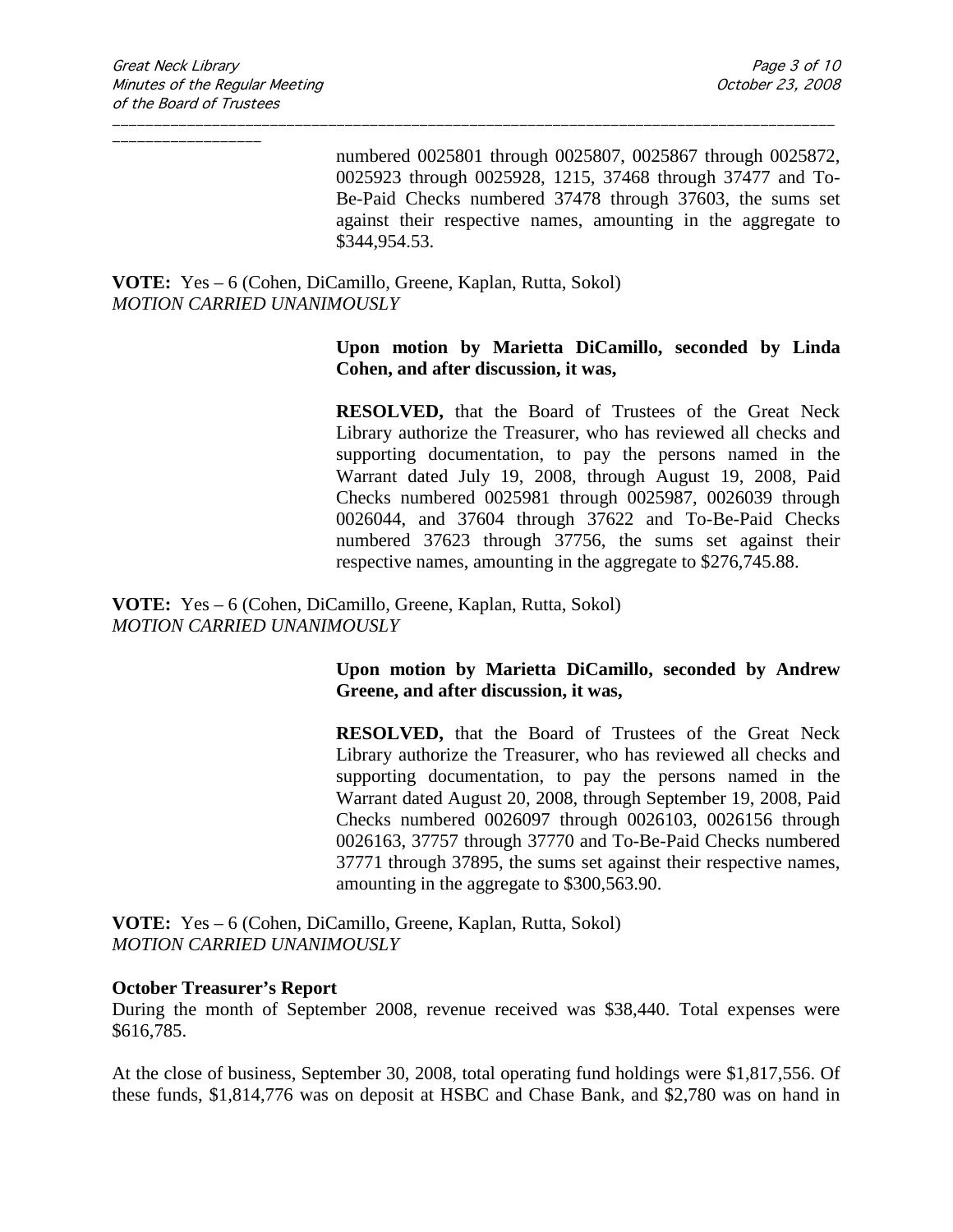numbered 0025801 through 0025807, 0025867 through 0025872, 0025923 through 0025928, 1215, 37468 through 37477 and To-Be-Paid Checks numbered 37478 through 37603, the sums set against their respective names, amounting in the aggregate to \$344,954.53.

\_\_\_\_\_\_\_\_\_\_\_\_\_\_\_\_\_\_\_\_\_\_\_\_\_\_\_\_\_\_\_\_\_\_\_\_\_\_\_\_\_\_\_\_\_\_\_\_\_\_\_\_\_\_\_\_\_\_\_\_\_\_\_\_\_\_\_\_\_\_\_\_\_\_\_\_\_\_\_\_\_\_\_\_\_\_\_

**VOTE:** Yes – 6 (Cohen, DiCamillo, Greene, Kaplan, Rutta, Sokol) *MOTION CARRIED UNANIMOUSLY*

#### **Upon motion by Marietta DiCamillo, seconded by Linda Cohen, and after discussion, it was,**

**RESOLVED,** that the Board of Trustees of the Great Neck Library authorize the Treasurer, who has reviewed all checks and supporting documentation, to pay the persons named in the Warrant dated July 19, 2008, through August 19, 2008, Paid Checks numbered 0025981 through 0025987, 0026039 through 0026044, and 37604 through 37622 and To-Be-Paid Checks numbered 37623 through 37756, the sums set against their respective names, amounting in the aggregate to \$276,745.88.

**VOTE:** Yes – 6 (Cohen, DiCamillo, Greene, Kaplan, Rutta, Sokol) *MOTION CARRIED UNANIMOUSLY*

## **Upon motion by Marietta DiCamillo, seconded by Andrew Greene, and after discussion, it was,**

**RESOLVED,** that the Board of Trustees of the Great Neck Library authorize the Treasurer, who has reviewed all checks and supporting documentation, to pay the persons named in the Warrant dated August 20, 2008, through September 19, 2008, Paid Checks numbered 0026097 through 0026103, 0026156 through 0026163, 37757 through 37770 and To-Be-Paid Checks numbered 37771 through 37895, the sums set against their respective names, amounting in the aggregate to \$300,563.90.

**VOTE:** Yes – 6 (Cohen, DiCamillo, Greene, Kaplan, Rutta, Sokol) *MOTION CARRIED UNANIMOUSLY*

#### **October Treasurer's Report**

During the month of September 2008, revenue received was \$38,440. Total expenses were \$616,785.

At the close of business, September 30, 2008, total operating fund holdings were \$1,817,556. Of these funds, \$1,814,776 was on deposit at HSBC and Chase Bank, and \$2,780 was on hand in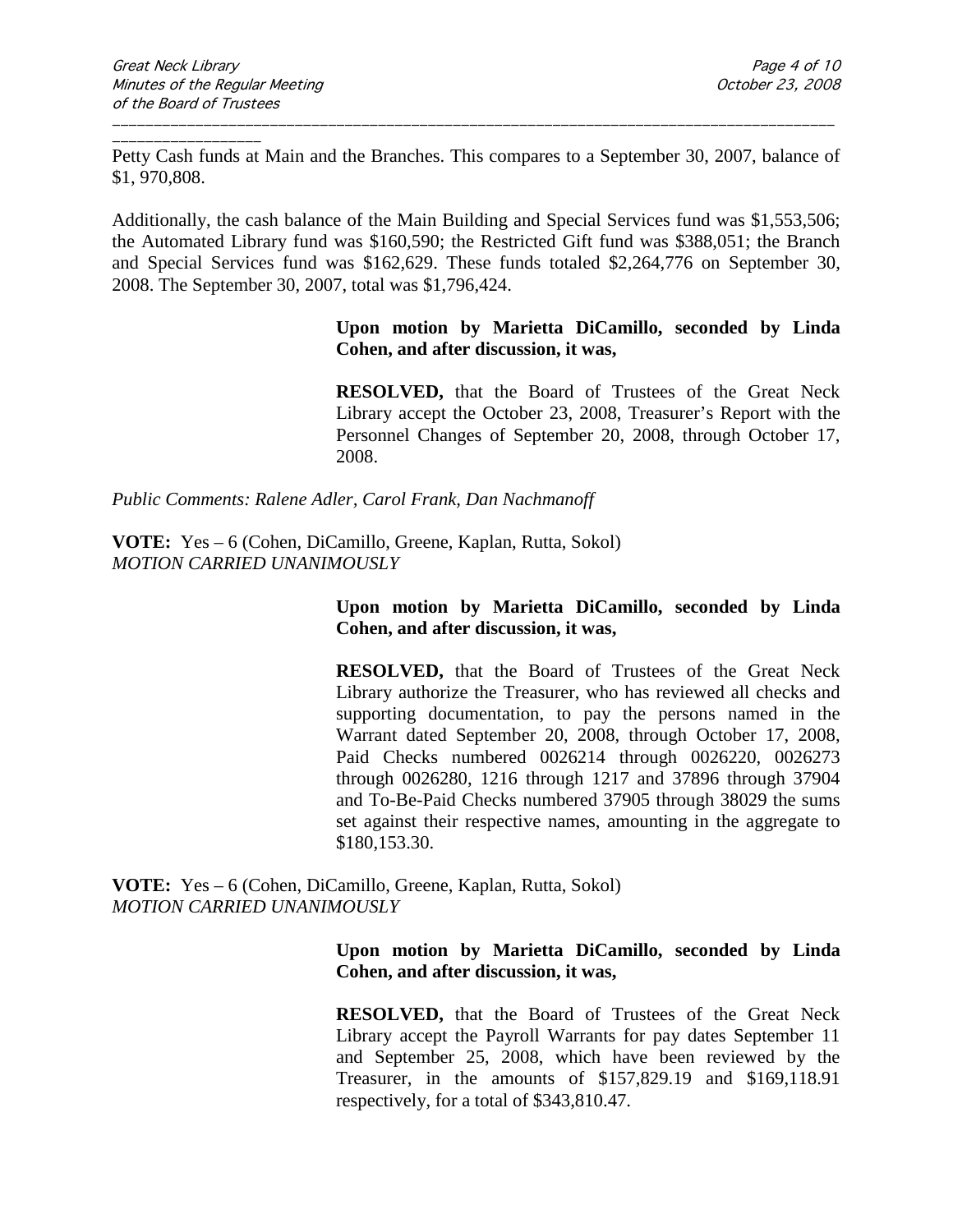\_\_\_\_\_\_\_\_\_\_\_\_\_\_\_\_\_\_ Petty Cash funds at Main and the Branches. This compares to a September 30, 2007, balance of \$1, 970,808.

\_\_\_\_\_\_\_\_\_\_\_\_\_\_\_\_\_\_\_\_\_\_\_\_\_\_\_\_\_\_\_\_\_\_\_\_\_\_\_\_\_\_\_\_\_\_\_\_\_\_\_\_\_\_\_\_\_\_\_\_\_\_\_\_\_\_\_\_\_\_\_\_\_\_\_\_\_\_\_\_\_\_\_\_\_\_\_

Additionally, the cash balance of the Main Building and Special Services fund was \$1,553,506; the Automated Library fund was \$160,590; the Restricted Gift fund was \$388,051; the Branch and Special Services fund was \$162,629. These funds totaled \$2,264,776 on September 30, 2008. The September 30, 2007, total was \$1,796,424.

### **Upon motion by Marietta DiCamillo, seconded by Linda Cohen, and after discussion, it was,**

**RESOLVED,** that the Board of Trustees of the Great Neck Library accept the October 23, 2008, Treasurer's Report with the Personnel Changes of September 20, 2008, through October 17, 2008.

*Public Comments: Ralene Adler, Carol Frank, Dan Nachmanoff*

**VOTE:** Yes – 6 (Cohen, DiCamillo, Greene, Kaplan, Rutta, Sokol) *MOTION CARRIED UNANIMOUSLY*

## **Upon motion by Marietta DiCamillo, seconded by Linda Cohen, and after discussion, it was,**

**RESOLVED,** that the Board of Trustees of the Great Neck Library authorize the Treasurer, who has reviewed all checks and supporting documentation, to pay the persons named in the Warrant dated September 20, 2008, through October 17, 2008, Paid Checks numbered 0026214 through 0026220, 0026273 through 0026280, 1216 through 1217 and 37896 through 37904 and To-Be-Paid Checks numbered 37905 through 38029 the sums set against their respective names, amounting in the aggregate to \$180,153.30.

**VOTE:** Yes – 6 (Cohen, DiCamillo, Greene, Kaplan, Rutta, Sokol) *MOTION CARRIED UNANIMOUSLY*

#### **Upon motion by Marietta DiCamillo, seconded by Linda Cohen, and after discussion, it was,**

**RESOLVED,** that the Board of Trustees of the Great Neck Library accept the Payroll Warrants for pay dates September 11 and September 25, 2008, which have been reviewed by the Treasurer, in the amounts of \$157,829.19 and \$169,118.91 respectively, for a total of \$343,810.47.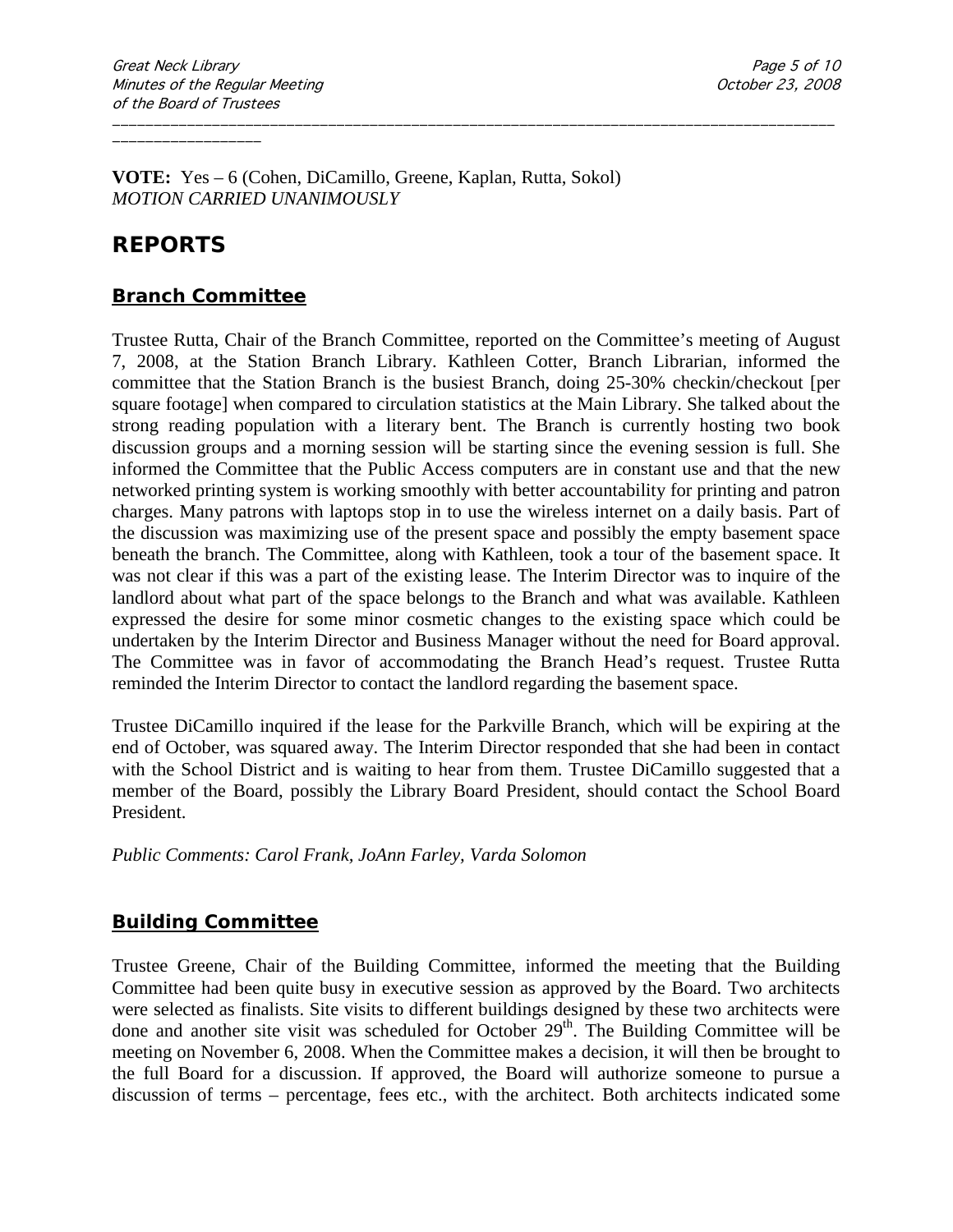**VOTE:** Yes – 6 (Cohen, DiCamillo, Greene, Kaplan, Rutta, Sokol) *MOTION CARRIED UNANIMOUSLY*

# **REPORTS**

\_\_\_\_\_\_\_\_\_\_\_\_\_\_\_\_\_\_

## **Branch Committee**

Trustee Rutta, Chair of the Branch Committee, reported on the Committee's meeting of August 7, 2008, at the Station Branch Library. Kathleen Cotter, Branch Librarian, informed the committee that the Station Branch is the busiest Branch, doing 25-30% checkin/checkout [per square footage] when compared to circulation statistics at the Main Library. She talked about the strong reading population with a literary bent. The Branch is currently hosting two book discussion groups and a morning session will be starting since the evening session is full. She informed the Committee that the Public Access computers are in constant use and that the new networked printing system is working smoothly with better accountability for printing and patron charges. Many patrons with laptops stop in to use the wireless internet on a daily basis. Part of the discussion was maximizing use of the present space and possibly the empty basement space beneath the branch. The Committee, along with Kathleen, took a tour of the basement space. It was not clear if this was a part of the existing lease. The Interim Director was to inquire of the landlord about what part of the space belongs to the Branch and what was available. Kathleen expressed the desire for some minor cosmetic changes to the existing space which could be undertaken by the Interim Director and Business Manager without the need for Board approval. The Committee was in favor of accommodating the Branch Head's request. Trustee Rutta reminded the Interim Director to contact the landlord regarding the basement space.

\_\_\_\_\_\_\_\_\_\_\_\_\_\_\_\_\_\_\_\_\_\_\_\_\_\_\_\_\_\_\_\_\_\_\_\_\_\_\_\_\_\_\_\_\_\_\_\_\_\_\_\_\_\_\_\_\_\_\_\_\_\_\_\_\_\_\_\_\_\_\_\_\_\_\_\_\_\_\_\_\_\_\_\_\_\_\_

Trustee DiCamillo inquired if the lease for the Parkville Branch, which will be expiring at the end of October, was squared away. The Interim Director responded that she had been in contact with the School District and is waiting to hear from them. Trustee DiCamillo suggested that a member of the Board, possibly the Library Board President, should contact the School Board President.

*Public Comments: Carol Frank, JoAnn Farley, Varda Solomon*

## **Building Committee**

Trustee Greene, Chair of the Building Committee, informed the meeting that the Building Committee had been quite busy in executive session as approved by the Board. Two architects were selected as finalists. Site visits to different buildings designed by these two architects were done and another site visit was scheduled for October  $29<sup>th</sup>$ . The Building Committee will be meeting on November 6, 2008. When the Committee makes a decision, it will then be brought to the full Board for a discussion. If approved, the Board will authorize someone to pursue a discussion of terms – percentage, fees etc., with the architect. Both architects indicated some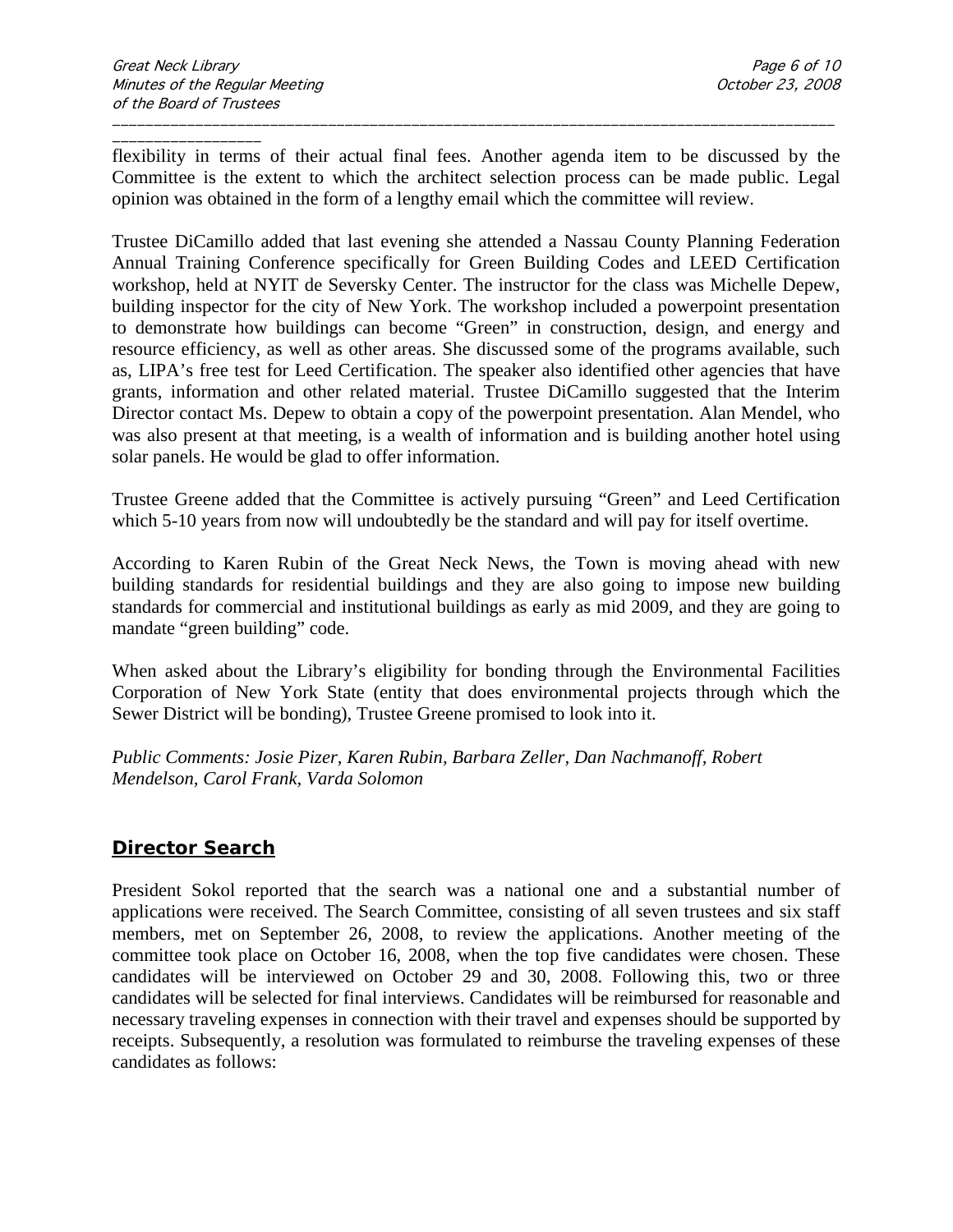\_\_\_\_\_\_\_\_\_\_\_\_\_\_\_\_\_\_ flexibility in terms of their actual final fees. Another agenda item to be discussed by the Committee is the extent to which the architect selection process can be made public. Legal opinion was obtained in the form of a lengthy email which the committee will review.

\_\_\_\_\_\_\_\_\_\_\_\_\_\_\_\_\_\_\_\_\_\_\_\_\_\_\_\_\_\_\_\_\_\_\_\_\_\_\_\_\_\_\_\_\_\_\_\_\_\_\_\_\_\_\_\_\_\_\_\_\_\_\_\_\_\_\_\_\_\_\_\_\_\_\_\_\_\_\_\_\_\_\_\_\_\_\_

Trustee DiCamillo added that last evening she attended a Nassau County Planning Federation Annual Training Conference specifically for Green Building Codes and LEED Certification workshop, held at NYIT de Seversky Center. The instructor for the class was Michelle Depew, building inspector for the city of New York. The workshop included a powerpoint presentation to demonstrate how buildings can become "Green" in construction, design, and energy and resource efficiency, as well as other areas. She discussed some of the programs available, such as, LIPA's free test for Leed Certification. The speaker also identified other agencies that have grants, information and other related material. Trustee DiCamillo suggested that the Interim Director contact Ms. Depew to obtain a copy of the powerpoint presentation. Alan Mendel, who was also present at that meeting, is a wealth of information and is building another hotel using solar panels. He would be glad to offer information.

Trustee Greene added that the Committee is actively pursuing "Green" and Leed Certification which 5-10 years from now will undoubtedly be the standard and will pay for itself overtime.

According to Karen Rubin of the Great Neck News, the Town is moving ahead with new building standards for residential buildings and they are also going to impose new building standards for commercial and institutional buildings as early as mid 2009, and they are going to mandate "green building" code.

When asked about the Library's eligibility for bonding through the Environmental Facilities Corporation of New York State (entity that does environmental projects through which the Sewer District will be bonding), Trustee Greene promised to look into it.

*Public Comments: Josie Pizer, Karen Rubin, Barbara Zeller, Dan Nachmanoff, Robert Mendelson, Carol Frank, Varda Solomon*

## **Director Search**

President Sokol reported that the search was a national one and a substantial number of applications were received. The Search Committee, consisting of all seven trustees and six staff members, met on September 26, 2008, to review the applications. Another meeting of the committee took place on October 16, 2008, when the top five candidates were chosen. These candidates will be interviewed on October 29 and 30, 2008. Following this, two or three candidates will be selected for final interviews. Candidates will be reimbursed for reasonable and necessary traveling expenses in connection with their travel and expenses should be supported by receipts. Subsequently, a resolution was formulated to reimburse the traveling expenses of these candidates as follows: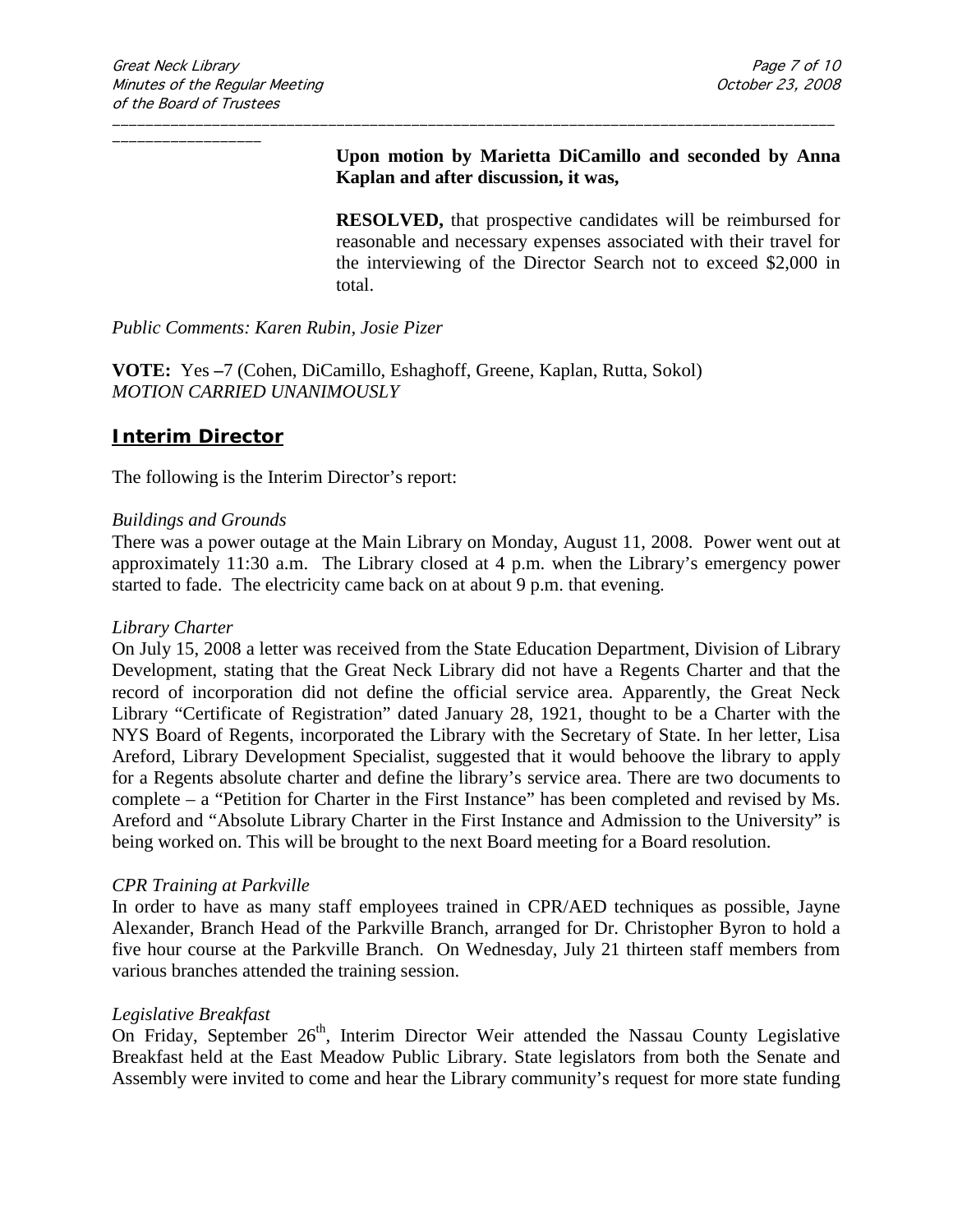## **Upon motion by Marietta DiCamillo and seconded by Anna Kaplan and after discussion, it was,**

**RESOLVED,** that prospective candidates will be reimbursed for reasonable and necessary expenses associated with their travel for the interviewing of the Director Search not to exceed \$2,000 in total.

*Public Comments: Karen Rubin, Josie Pizer*

**VOTE:** Yes **–**7 (Cohen, DiCamillo, Eshaghoff, Greene, Kaplan, Rutta, Sokol) *MOTION CARRIED UNANIMOUSLY*

## **Interim Director**

The following is the Interim Director's report:

#### *Buildings and Grounds*

There was a power outage at the Main Library on Monday, August 11, 2008. Power went out at approximately 11:30 a.m. The Library closed at 4 p.m. when the Library's emergency power started to fade. The electricity came back on at about 9 p.m. that evening.

\_\_\_\_\_\_\_\_\_\_\_\_\_\_\_\_\_\_\_\_\_\_\_\_\_\_\_\_\_\_\_\_\_\_\_\_\_\_\_\_\_\_\_\_\_\_\_\_\_\_\_\_\_\_\_\_\_\_\_\_\_\_\_\_\_\_\_\_\_\_\_\_\_\_\_\_\_\_\_\_\_\_\_\_\_\_\_

#### *Library Charter*

On July 15, 2008 a letter was received from the State Education Department, Division of Library Development, stating that the Great Neck Library did not have a Regents Charter and that the record of incorporation did not define the official service area. Apparently, the Great Neck Library "Certificate of Registration" dated January 28, 1921, thought to be a Charter with the NYS Board of Regents, incorporated the Library with the Secretary of State. In her letter, Lisa Areford, Library Development Specialist, suggested that it would behoove the library to apply for a Regents absolute charter and define the library's service area. There are two documents to complete – a "Petition for Charter in the First Instance" has been completed and revised by Ms. Areford and "Absolute Library Charter in the First Instance and Admission to the University" is being worked on. This will be brought to the next Board meeting for a Board resolution.

#### *CPR Training at Parkville*

In order to have as many staff employees trained in CPR/AED techniques as possible, Jayne Alexander, Branch Head of the Parkville Branch, arranged for Dr. Christopher Byron to hold a five hour course at the Parkville Branch. On Wednesday, July 21 thirteen staff members from various branches attended the training session.

#### *Legislative Breakfast*

On Friday, September  $26<sup>th</sup>$ , Interim Director Weir attended the Nassau County Legislative Breakfast held at the East Meadow Public Library. State legislators from both the Senate and Assembly were invited to come and hear the Library community's request for more state funding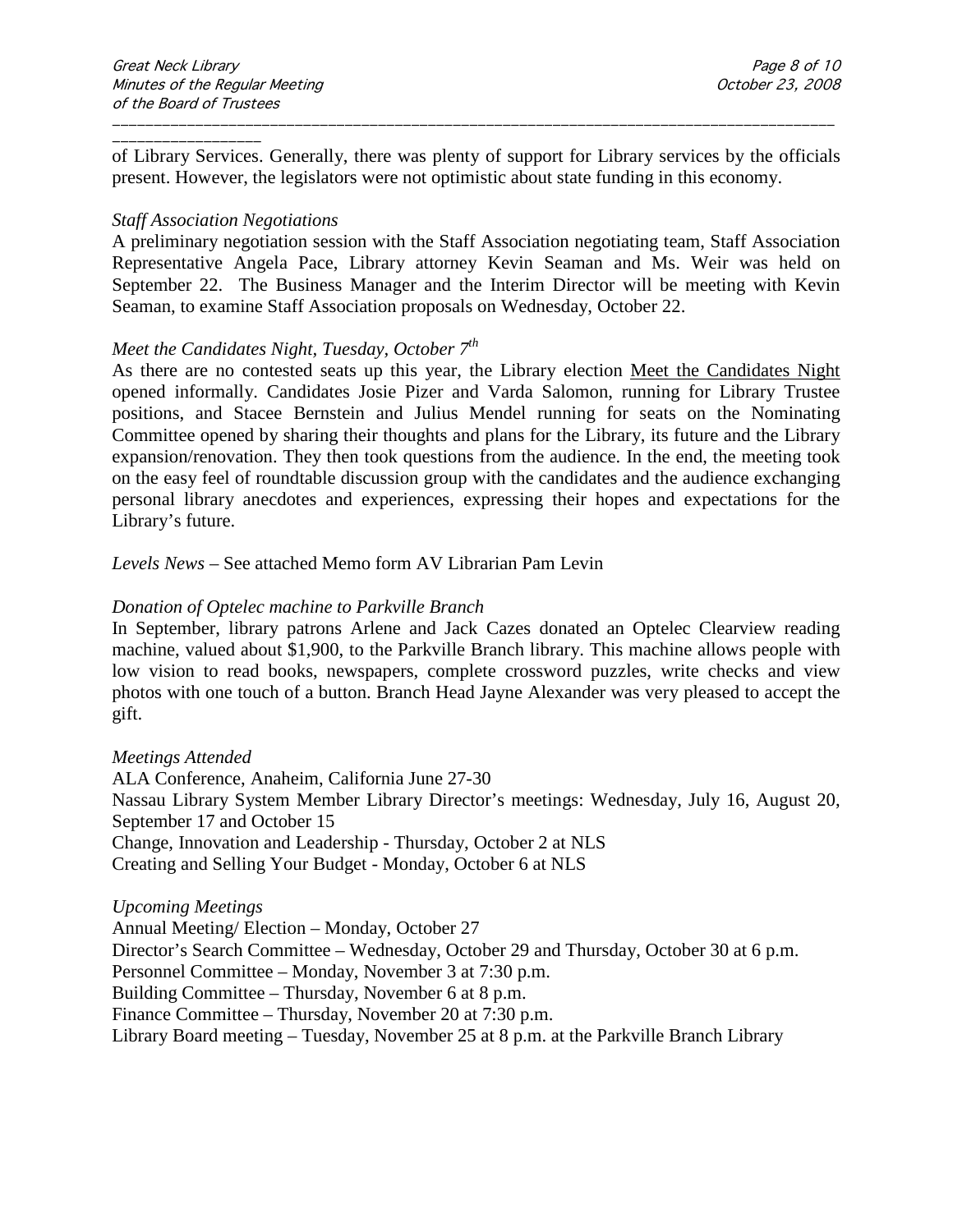of Library Services. Generally, there was plenty of support for Library services by the officials present. However, the legislators were not optimistic about state funding in this economy.

\_\_\_\_\_\_\_\_\_\_\_\_\_\_\_\_\_\_\_\_\_\_\_\_\_\_\_\_\_\_\_\_\_\_\_\_\_\_\_\_\_\_\_\_\_\_\_\_\_\_\_\_\_\_\_\_\_\_\_\_\_\_\_\_\_\_\_\_\_\_\_\_\_\_\_\_\_\_\_\_\_\_\_\_\_\_\_

#### *Staff Association Negotiations*

A preliminary negotiation session with the Staff Association negotiating team, Staff Association Representative Angela Pace, Library attorney Kevin Seaman and Ms. Weir was held on September 22. The Business Manager and the Interim Director will be meeting with Kevin Seaman, to examine Staff Association proposals on Wednesday, October 22.

#### *Meet the Candidates Night, Tuesday, October 7th*

As there are no contested seats up this year, the Library election Meet the Candidates Night opened informally. Candidates Josie Pizer and Varda Salomon, running for Library Trustee positions, and Stacee Bernstein and Julius Mendel running for seats on the Nominating Committee opened by sharing their thoughts and plans for the Library, its future and the Library expansion/renovation. They then took questions from the audience. In the end, the meeting took on the easy feel of roundtable discussion group with the candidates and the audience exchanging personal library anecdotes and experiences, expressing their hopes and expectations for the Library's future.

*Levels News* – See attached Memo form AV Librarian Pam Levin

#### *Donation of Optelec machine to Parkville Branch*

In September, library patrons Arlene and Jack Cazes donated an Optelec Clearview reading machine, valued about \$1,900, to the Parkville Branch library. This machine allows people with low vision to read books, newspapers, complete crossword puzzles, write checks and view photos with one touch of a button. Branch Head Jayne Alexander was very pleased to accept the gift.

#### *Meetings Attended*

ALA Conference, Anaheim, California June 27-30 Nassau Library System Member Library Director's meetings: Wednesday, July 16, August 20, September 17 and October 15 Change, Innovation and Leadership - Thursday, October 2 at NLS Creating and Selling Your Budget - Monday, October 6 at NLS

#### *Upcoming Meetings*

Annual Meeting/ Election – Monday, October 27 Director's Search Committee – Wednesday, October 29 and Thursday, October 30 at 6 p.m. Personnel Committee – Monday, November 3 at 7:30 p.m. Building Committee – Thursday, November 6 at 8 p.m. Finance Committee – Thursday, November 20 at 7:30 p.m. Library Board meeting – Tuesday, November 25 at 8 p.m. at the Parkville Branch Library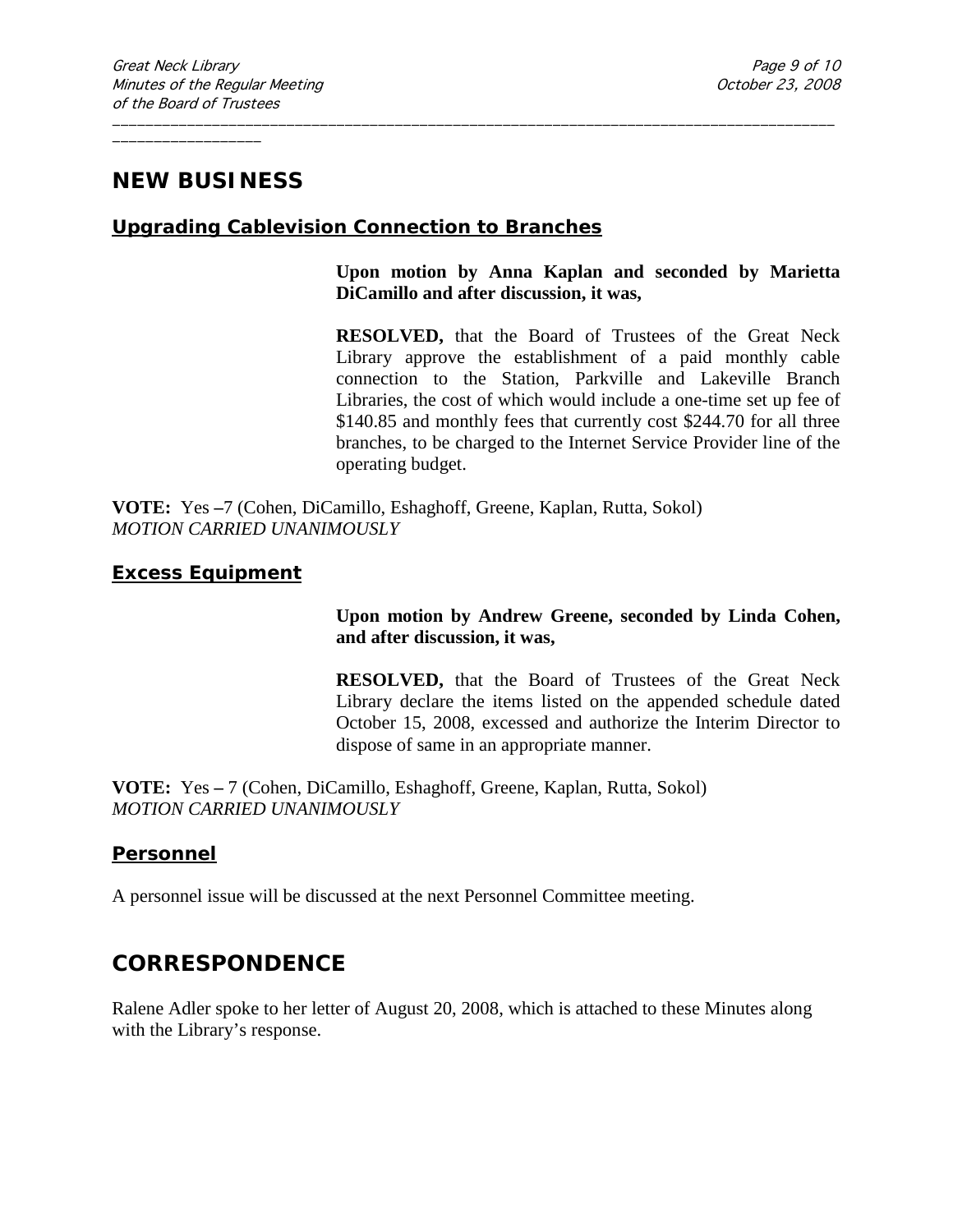# **NEW BUSINESS**

## **Upgrading Cablevision Connection to Branches**

\_\_\_\_\_\_\_\_\_\_\_\_\_\_\_\_\_\_\_\_\_\_\_\_\_\_\_\_\_\_\_\_\_\_\_\_\_\_\_\_\_\_\_\_\_\_\_\_\_\_\_\_\_\_\_\_\_\_\_\_\_\_\_\_\_\_\_\_\_\_\_\_\_\_\_\_\_\_\_\_\_\_\_\_\_\_\_

### **Upon motion by Anna Kaplan and seconded by Marietta DiCamillo and after discussion, it was,**

**RESOLVED,** that the Board of Trustees of the Great Neck Library approve the establishment of a paid monthly cable connection to the Station, Parkville and Lakeville Branch Libraries, the cost of which would include a one-time set up fee of \$140.85 and monthly fees that currently cost \$244.70 for all three branches, to be charged to the Internet Service Provider line of the operating budget.

**VOTE:** Yes **–**7 (Cohen, DiCamillo, Eshaghoff, Greene, Kaplan, Rutta, Sokol) *MOTION CARRIED UNANIMOUSLY*

## **Excess Equipment**

## **Upon motion by Andrew Greene, seconded by Linda Cohen, and after discussion, it was,**

**RESOLVED,** that the Board of Trustees of the Great Neck Library declare the items listed on the appended schedule dated October 15, 2008, excessed and authorize the Interim Director to dispose of same in an appropriate manner.

**VOTE:** Yes **–** 7 (Cohen, DiCamillo, Eshaghoff, Greene, Kaplan, Rutta, Sokol) *MOTION CARRIED UNANIMOUSLY*

## **Personnel**

A personnel issue will be discussed at the next Personnel Committee meeting.

# **CORRESPONDENCE**

Ralene Adler spoke to her letter of August 20, 2008, which is attached to these Minutes along with the Library's response.